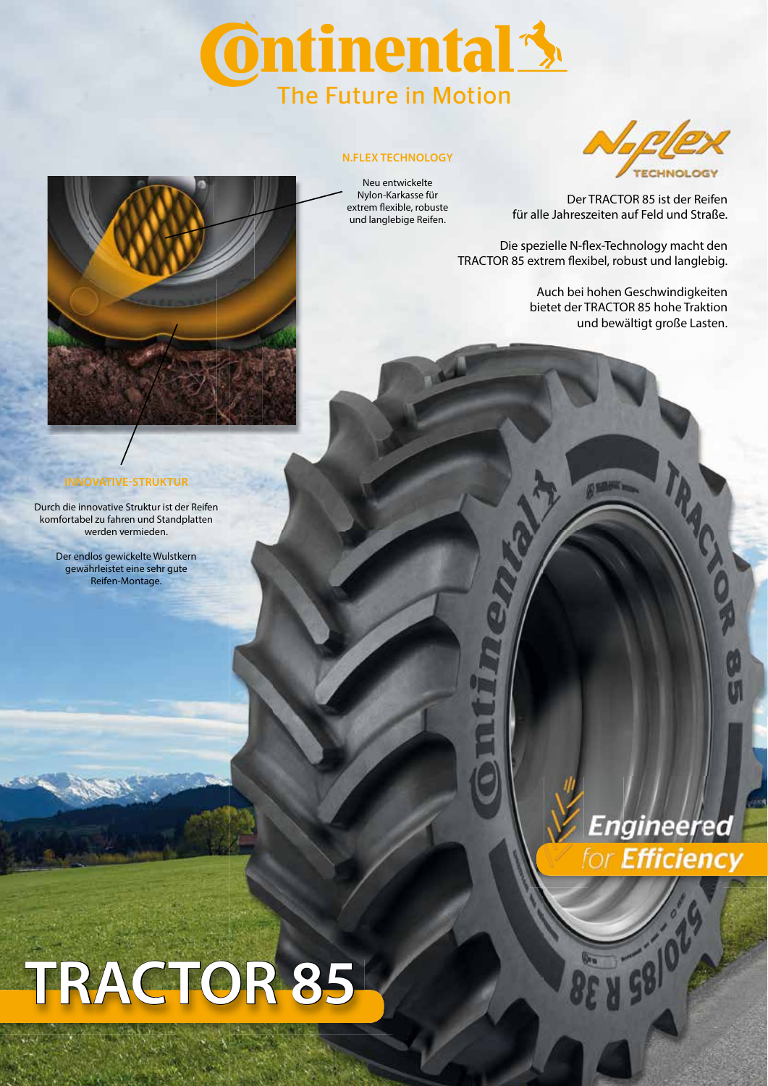# **Ontinental 3** The Future in Motion

### **N.FLEX TECHNOLOGY**

Neu entwickelte Nylon-Karkasse für extrem flexible, robuste und langlebige Reifen.



Der TRACTOR 85 ist der Reifen für alle Jahreszeiten auf Feld und Straße.

Die spezielle N-flex-Technology macht den TRACTOR 85 extrem flexibel, robust und langlebig.

> Auch bei hohen Geschwindigkeiten bietet der TRACTOR 85 hohe Traktion und bewältigt große Lasten.



## **INNOVATIVE-STRUKTUR**

Durch die innovative Struktur ist der Reifen komfortabel zu fahren und Standplatten werden vermieden.

> Der endlos gewickelte Wulstkern gewährleistet eine sehr gute Reifen-Montage.

# **TRACTOR 85**



**V 5810** 

RICIT